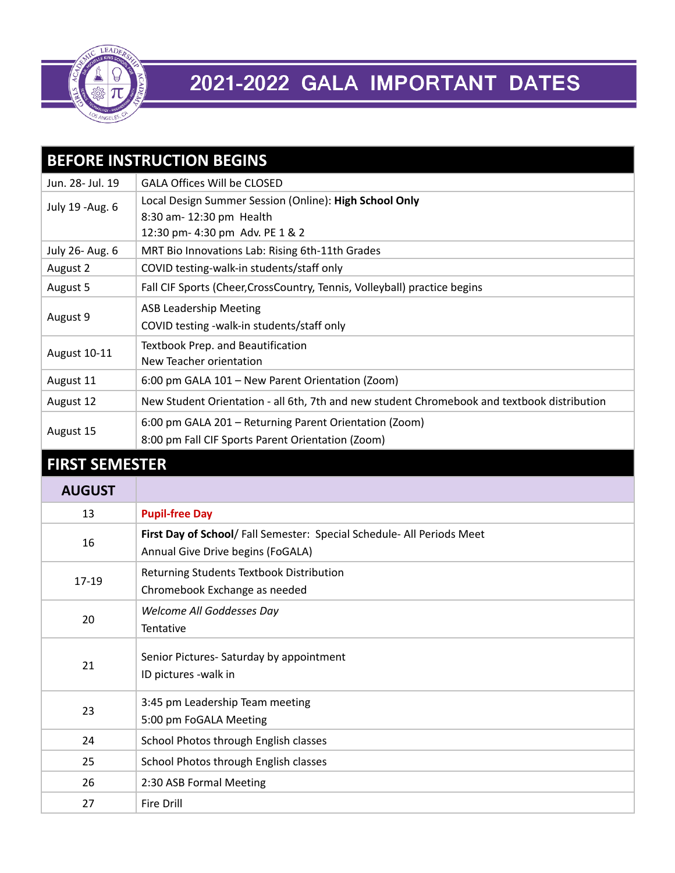

## 2021-2022 GALA IMPORTANT DATES

| <b>BEFORE INSTRUCTION BEGINS</b> |                                                                                                                       |
|----------------------------------|-----------------------------------------------------------------------------------------------------------------------|
| Jun. 28- Jul. 19                 | <b>GALA Offices Will be CLOSED</b>                                                                                    |
| July 19 - Aug. 6                 | Local Design Summer Session (Online): High School Only<br>8:30 am- 12:30 pm Health<br>12:30 pm- 4:30 pm Adv. PE 1 & 2 |
| July 26- Aug. 6                  | MRT Bio Innovations Lab: Rising 6th-11th Grades                                                                       |
| August 2                         | COVID testing-walk-in students/staff only                                                                             |
| August 5                         | Fall CIF Sports (Cheer, CrossCountry, Tennis, Volleyball) practice begins                                             |
| August 9                         | <b>ASB Leadership Meeting</b><br>COVID testing -walk-in students/staff only                                           |
| August 10-11                     | Textbook Prep. and Beautification<br>New Teacher orientation                                                          |
| August 11                        | 6:00 pm GALA 101 - New Parent Orientation (Zoom)                                                                      |
| August 12                        | New Student Orientation - all 6th, 7th and new student Chromebook and textbook distribution                           |
| August 15                        | 6:00 pm GALA 201 - Returning Parent Orientation (Zoom)<br>8:00 pm Fall CIF Sports Parent Orientation (Zoom)           |
| <b>FIRST SEMESTER</b>            |                                                                                                                       |
| <b>AUGUST</b>                    |                                                                                                                       |
| 13                               | <b>Pupil-free Day</b>                                                                                                 |
| 16                               | First Day of School/ Fall Semester: Special Schedule- All Periods Meet<br>Annual Give Drive begins (FoGALA)           |
| $17 - 19$                        | Returning Students Textbook Distribution<br>Chromebook Exchange as needed                                             |
| 20                               | Welcome All Goddesses Day<br>Tentative                                                                                |
| 21                               | Senior Pictures- Saturday by appointment<br>ID pictures - walk in                                                     |
| 23                               | 3:45 pm Leadership Team meeting<br>5:00 pm FoGALA Meeting                                                             |
| 24                               | School Photos through English classes                                                                                 |
| 25                               | School Photos through English classes                                                                                 |
| 26                               | 2:30 ASB Formal Meeting                                                                                               |
| 27                               | <b>Fire Drill</b>                                                                                                     |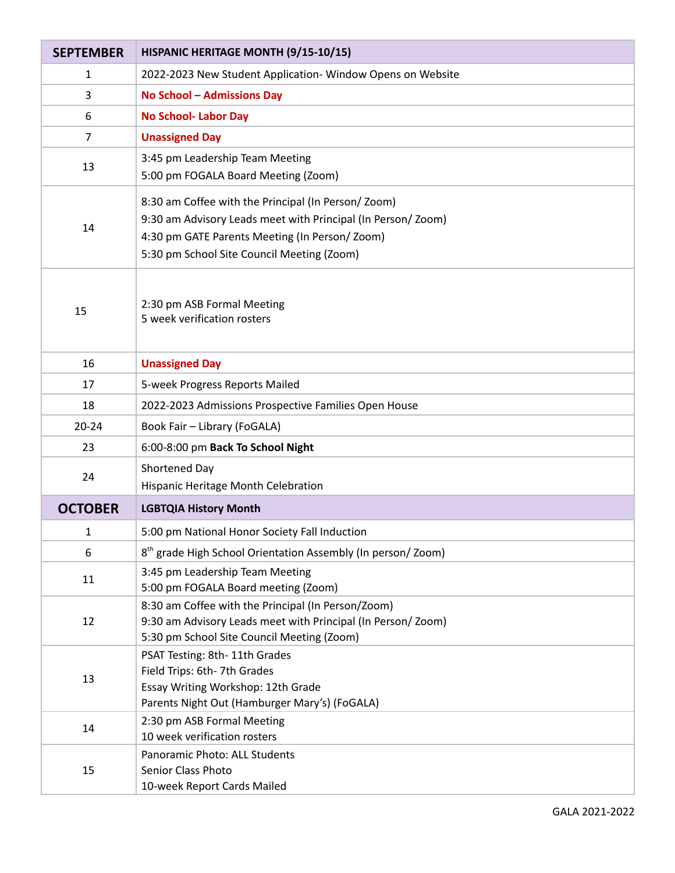| <b>SEPTEMBER</b> | HISPANIC HERITAGE MONTH (9/15-10/15)                                                                                                                                                                             |
|------------------|------------------------------------------------------------------------------------------------------------------------------------------------------------------------------------------------------------------|
| 1                | 2022-2023 New Student Application- Window Opens on Website                                                                                                                                                       |
| 3                | <b>No School - Admissions Day</b>                                                                                                                                                                                |
| 6                | <b>No School- Labor Day</b>                                                                                                                                                                                      |
| 7                | <b>Unassigned Day</b>                                                                                                                                                                                            |
| 13               | 3:45 pm Leadership Team Meeting<br>5:00 pm FOGALA Board Meeting (Zoom)                                                                                                                                           |
| 14               | 8:30 am Coffee with the Principal (In Person/Zoom)<br>9:30 am Advisory Leads meet with Principal (In Person/Zoom)<br>4:30 pm GATE Parents Meeting (In Person/Zoom)<br>5:30 pm School Site Council Meeting (Zoom) |
| 15               | 2:30 pm ASB Formal Meeting<br>5 week verification rosters                                                                                                                                                        |
| 16               | <b>Unassigned Day</b>                                                                                                                                                                                            |
| 17               | 5-week Progress Reports Mailed                                                                                                                                                                                   |
| 18               | 2022-2023 Admissions Prospective Families Open House                                                                                                                                                             |
| $20 - 24$        | Book Fair - Library (FoGALA)                                                                                                                                                                                     |
| 23               | 6:00-8:00 pm Back To School Night                                                                                                                                                                                |
| 24               | Shortened Day<br>Hispanic Heritage Month Celebration                                                                                                                                                             |
| <b>OCTOBER</b>   | <b>LGBTQIA History Month</b>                                                                                                                                                                                     |
| 1                | 5:00 pm National Honor Society Fall Induction                                                                                                                                                                    |
| 6                | 8 <sup>th</sup> grade High School Orientation Assembly (In person/Zoom)                                                                                                                                          |
| 11               | 3:45 pm Leadership Team Meeting<br>5:00 pm FOGALA Board meeting (Zoom)                                                                                                                                           |
| 12               | 8:30 am Coffee with the Principal (In Person/Zoom)<br>9:30 am Advisory Leads meet with Principal (In Person/Zoom)<br>5:30 pm School Site Council Meeting (Zoom)                                                  |
| 13               | PSAT Testing: 8th- 11th Grades<br>Field Trips: 6th-7th Grades<br>Essay Writing Workshop: 12th Grade<br>Parents Night Out (Hamburger Mary's) (FoGALA)                                                             |
| 14               | 2:30 pm ASB Formal Meeting<br>10 week verification rosters                                                                                                                                                       |
| 15               | Panoramic Photo: ALL Students<br>Senior Class Photo<br>10-week Report Cards Mailed                                                                                                                               |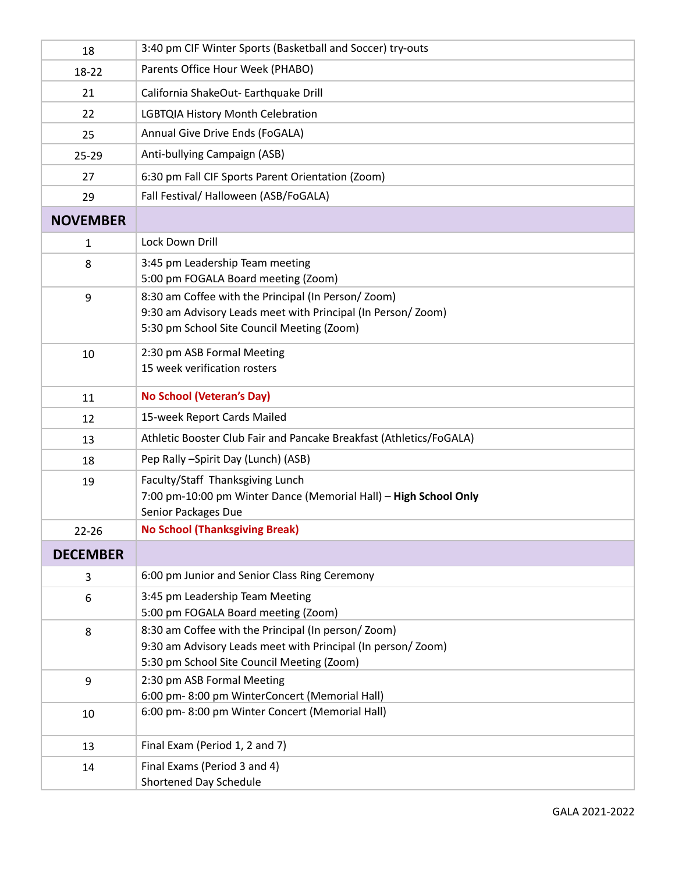| 18              | 3:40 pm CIF Winter Sports (Basketball and Soccer) try-outs                                                                                                      |
|-----------------|-----------------------------------------------------------------------------------------------------------------------------------------------------------------|
| 18-22           | Parents Office Hour Week (PHABO)                                                                                                                                |
| 21              | California ShakeOut- Earthquake Drill                                                                                                                           |
| 22              | LGBTQIA History Month Celebration                                                                                                                               |
| 25              | Annual Give Drive Ends (FoGALA)                                                                                                                                 |
| $25 - 29$       | Anti-bullying Campaign (ASB)                                                                                                                                    |
| 27              | 6:30 pm Fall CIF Sports Parent Orientation (Zoom)                                                                                                               |
| 29              | Fall Festival/ Halloween (ASB/FoGALA)                                                                                                                           |
| <b>NOVEMBER</b> |                                                                                                                                                                 |
| $\mathbf{1}$    | Lock Down Drill                                                                                                                                                 |
| 8               | 3:45 pm Leadership Team meeting<br>5:00 pm FOGALA Board meeting (Zoom)                                                                                          |
| 9               | 8:30 am Coffee with the Principal (In Person/Zoom)<br>9:30 am Advisory Leads meet with Principal (In Person/Zoom)<br>5:30 pm School Site Council Meeting (Zoom) |
| 10              | 2:30 pm ASB Formal Meeting<br>15 week verification rosters                                                                                                      |
| 11              | <b>No School (Veteran's Day)</b>                                                                                                                                |
| 12              | 15-week Report Cards Mailed                                                                                                                                     |
| 13              | Athletic Booster Club Fair and Pancake Breakfast (Athletics/FoGALA)                                                                                             |
| 18              | Pep Rally -Spirit Day (Lunch) (ASB)                                                                                                                             |
| 19              | Faculty/Staff Thanksgiving Lunch<br>7:00 pm-10:00 pm Winter Dance (Memorial Hall) - High School Only<br>Senior Packages Due                                     |
| 22-26           | <b>No School (Thanksgiving Break)</b>                                                                                                                           |
| <b>DECEMBER</b> |                                                                                                                                                                 |
| 3               | 6:00 pm Junior and Senior Class Ring Ceremony                                                                                                                   |
| 6               | 3:45 pm Leadership Team Meeting<br>5:00 pm FOGALA Board meeting (Zoom)                                                                                          |
| 8               | 8:30 am Coffee with the Principal (In person/Zoom)<br>9:30 am Advisory Leads meet with Principal (In person/Zoom)<br>5:30 pm School Site Council Meeting (Zoom) |
| 9               | 2:30 pm ASB Formal Meeting<br>6:00 pm-8:00 pm WinterConcert (Memorial Hall)                                                                                     |
| 10              | 6:00 pm-8:00 pm Winter Concert (Memorial Hall)                                                                                                                  |
| 13              | Final Exam (Period 1, 2 and 7)                                                                                                                                  |
| 14              | Final Exams (Period 3 and 4)<br>Shortened Day Schedule                                                                                                          |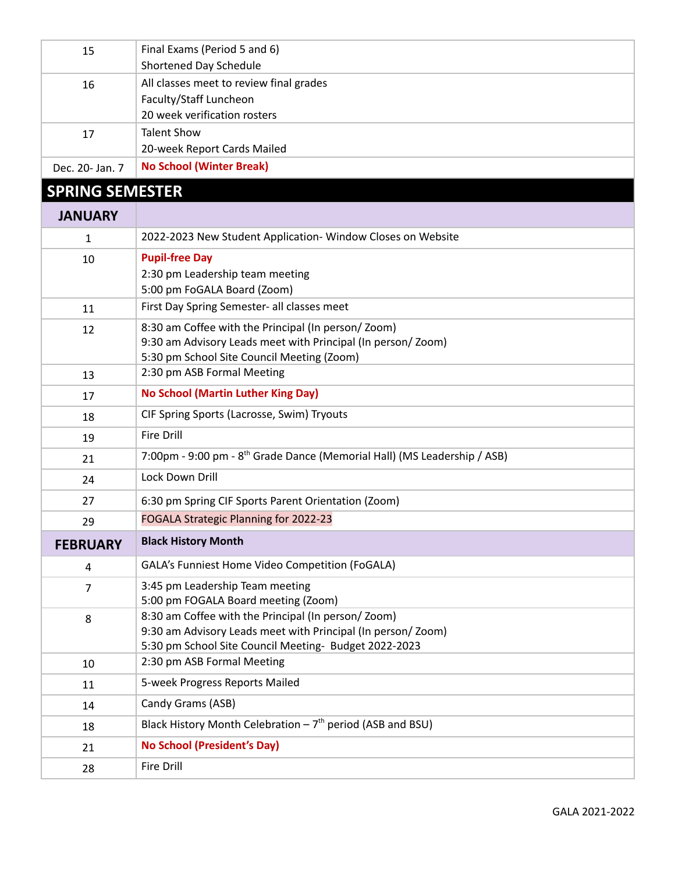| 15                     | Final Exams (Period 5 and 6)<br>Shortened Day Schedule                                                            |
|------------------------|-------------------------------------------------------------------------------------------------------------------|
| 16                     | All classes meet to review final grades                                                                           |
|                        | Faculty/Staff Luncheon                                                                                            |
|                        | 20 week verification rosters                                                                                      |
| 17                     | <b>Talent Show</b>                                                                                                |
|                        | 20-week Report Cards Mailed                                                                                       |
| Dec. 20- Jan. 7        | <b>No School (Winter Break)</b>                                                                                   |
| <b>SPRING SEMESTER</b> |                                                                                                                   |
| <b>JANUARY</b>         |                                                                                                                   |
| 1                      | 2022-2023 New Student Application- Window Closes on Website                                                       |
| 10                     | <b>Pupil-free Day</b>                                                                                             |
|                        | 2:30 pm Leadership team meeting                                                                                   |
|                        | 5:00 pm FoGALA Board (Zoom)                                                                                       |
| 11                     | First Day Spring Semester- all classes meet                                                                       |
| 12                     | 8:30 am Coffee with the Principal (In person/Zoom)<br>9:30 am Advisory Leads meet with Principal (In person/Zoom) |
|                        | 5:30 pm School Site Council Meeting (Zoom)                                                                        |
| 13                     | 2:30 pm ASB Formal Meeting                                                                                        |
| 17                     | <b>No School (Martin Luther King Day)</b>                                                                         |
| 18                     | CIF Spring Sports (Lacrosse, Swim) Tryouts                                                                        |
| 19                     | <b>Fire Drill</b>                                                                                                 |
| 21                     | 7:00pm - 9:00 pm - 8 <sup>th</sup> Grade Dance (Memorial Hall) (MS Leadership / ASB)                              |
| 24                     | Lock Down Drill                                                                                                   |
| 27                     | 6:30 pm Spring CIF Sports Parent Orientation (Zoom)                                                               |
| 29                     | FOGALA Strategic Planning for 2022-23                                                                             |
| <b>FEBRUARY</b>        | <b>Black History Month</b>                                                                                        |
| 4                      | GALA's Funniest Home Video Competition (FoGALA)                                                                   |
| 7                      | 3:45 pm Leadership Team meeting<br>5:00 pm FOGALA Board meeting (Zoom)                                            |
| 8                      | 8:30 am Coffee with the Principal (In person/Zoom)                                                                |
|                        | 9:30 am Advisory Leads meet with Principal (In person/Zoom)                                                       |
|                        | 5:30 pm School Site Council Meeting- Budget 2022-2023                                                             |
| 10                     | 2:30 pm ASB Formal Meeting                                                                                        |
| 11                     | 5-week Progress Reports Mailed                                                                                    |
| 14                     | Candy Grams (ASB)                                                                                                 |
| 18                     |                                                                                                                   |
|                        | Black History Month Celebration $-7th$ period (ASB and BSU)                                                       |
| 21                     | <b>No School (President's Day)</b>                                                                                |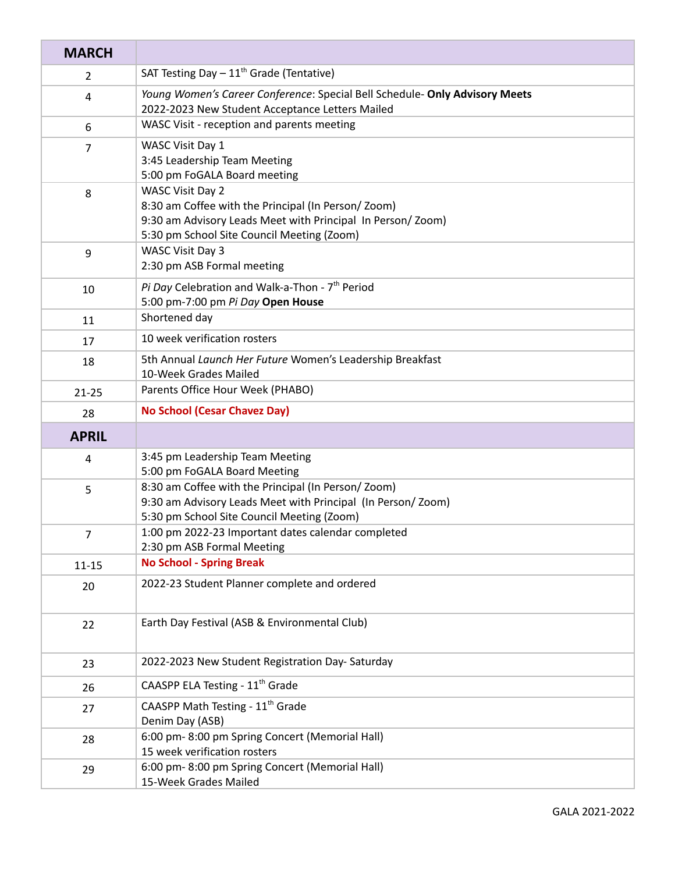| <b>MARCH</b>   |                                                                                                                                                                                    |
|----------------|------------------------------------------------------------------------------------------------------------------------------------------------------------------------------------|
| $\overline{2}$ | SAT Testing Day $-11^{th}$ Grade (Tentative)                                                                                                                                       |
| 4              | Young Women's Career Conference: Special Bell Schedule- Only Advisory Meets<br>2022-2023 New Student Acceptance Letters Mailed                                                     |
| 6              | WASC Visit - reception and parents meeting                                                                                                                                         |
| 7              | WASC Visit Day 1<br>3:45 Leadership Team Meeting<br>5:00 pm FoGALA Board meeting                                                                                                   |
| 8              | WASC Visit Day 2<br>8:30 am Coffee with the Principal (In Person/Zoom)<br>9:30 am Advisory Leads Meet with Principal In Person/Zoom)<br>5:30 pm School Site Council Meeting (Zoom) |
| 9              | WASC Visit Day 3<br>2:30 pm ASB Formal meeting                                                                                                                                     |
| 10             | Pi Day Celebration and Walk-a-Thon - 7 <sup>th</sup> Period<br>5:00 pm-7:00 pm Pi Day Open House                                                                                   |
| 11             | Shortened day                                                                                                                                                                      |
| 17             | 10 week verification rosters                                                                                                                                                       |
| 18             | 5th Annual Launch Her Future Women's Leadership Breakfast<br>10-Week Grades Mailed                                                                                                 |
| $21 - 25$      | Parents Office Hour Week (PHABO)                                                                                                                                                   |
| 28             | <b>No School (Cesar Chavez Day)</b>                                                                                                                                                |
| <b>APRIL</b>   |                                                                                                                                                                                    |
| 4              | 3:45 pm Leadership Team Meeting<br>5:00 pm FoGALA Board Meeting                                                                                                                    |
| 5              | 8:30 am Coffee with the Principal (In Person/Zoom)<br>9:30 am Advisory Leads Meet with Principal (In Person/Zoom)<br>5:30 pm School Site Council Meeting (Zoom)                    |
| 7              | 1:00 pm 2022-23 Important dates calendar completed<br>2:30 pm ASB Formal Meeting                                                                                                   |
| $11 - 15$      | <b>No School - Spring Break</b>                                                                                                                                                    |
| 20             | 2022-23 Student Planner complete and ordered                                                                                                                                       |
| 22             | Earth Day Festival (ASB & Environmental Club)                                                                                                                                      |
| 23             | 2022-2023 New Student Registration Day-Saturday                                                                                                                                    |
| 26             | CAASPP ELA Testing - 11 <sup>th</sup> Grade                                                                                                                                        |
| 27             | CAASPP Math Testing - 11 <sup>th</sup> Grade<br>Denim Day (ASB)                                                                                                                    |
| 28             | 6:00 pm-8:00 pm Spring Concert (Memorial Hall)<br>15 week verification rosters                                                                                                     |
| 29             | 6:00 pm-8:00 pm Spring Concert (Memorial Hall)<br>15-Week Grades Mailed                                                                                                            |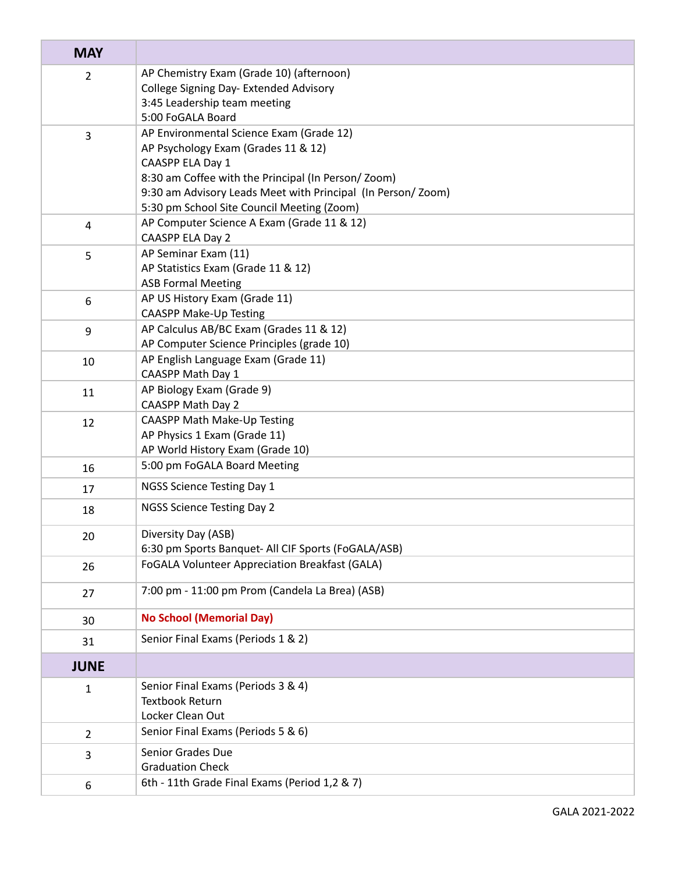| <b>MAY</b>     |                                                                                    |
|----------------|------------------------------------------------------------------------------------|
| $\overline{2}$ | AP Chemistry Exam (Grade 10) (afternoon)<br>College Signing Day- Extended Advisory |
|                | 3:45 Leadership team meeting                                                       |
|                | 5:00 FoGALA Board                                                                  |
| 3              | AP Environmental Science Exam (Grade 12)                                           |
|                | AP Psychology Exam (Grades 11 & 12)                                                |
|                | CAASPP ELA Day 1<br>8:30 am Coffee with the Principal (In Person/Zoom)             |
|                | 9:30 am Advisory Leads Meet with Principal (In Person/Zoom)                        |
|                | 5:30 pm School Site Council Meeting (Zoom)                                         |
| $\overline{4}$ | AP Computer Science A Exam (Grade 11 & 12)                                         |
|                | CAASPP ELA Day 2                                                                   |
| 5              | AP Seminar Exam (11)                                                               |
|                | AP Statistics Exam (Grade 11 & 12)                                                 |
|                | <b>ASB Formal Meeting</b>                                                          |
| 6              | AP US History Exam (Grade 11)<br><b>CAASPP Make-Up Testing</b>                     |
| 9              | AP Calculus AB/BC Exam (Grades 11 & 12)                                            |
|                | AP Computer Science Principles (grade 10)                                          |
| 10             | AP English Language Exam (Grade 11)                                                |
|                | CAASPP Math Day 1                                                                  |
| 11             | AP Biology Exam (Grade 9)                                                          |
|                | <b>CAASPP Math Day 2</b>                                                           |
| 12             | CAASPP Math Make-Up Testing<br>AP Physics 1 Exam (Grade 11)                        |
|                | AP World History Exam (Grade 10)                                                   |
| 16             | 5:00 pm FoGALA Board Meeting                                                       |
| 17             | NGSS Science Testing Day 1                                                         |
| 18             | NGSS Science Testing Day 2                                                         |
| 20             | Diversity Day (ASB)                                                                |
|                | 6:30 pm Sports Banquet- All CIF Sports (FoGALA/ASB)                                |
| 26             | FoGALA Volunteer Appreciation Breakfast (GALA)                                     |
| 27             | 7:00 pm - 11:00 pm Prom (Candela La Brea) (ASB)                                    |
| 30             | <b>No School (Memorial Day)</b>                                                    |
| 31             | Senior Final Exams (Periods 1 & 2)                                                 |
| <b>JUNE</b>    |                                                                                    |
| $\mathbf{1}$   | Senior Final Exams (Periods 3 & 4)                                                 |
|                | <b>Textbook Return</b>                                                             |
|                | Locker Clean Out                                                                   |
| $\overline{2}$ | Senior Final Exams (Periods 5 & 6)                                                 |
| 3              | Senior Grades Due<br><b>Graduation Check</b>                                       |
| 6              | 6th - 11th Grade Final Exams (Period 1,2 & 7)                                      |